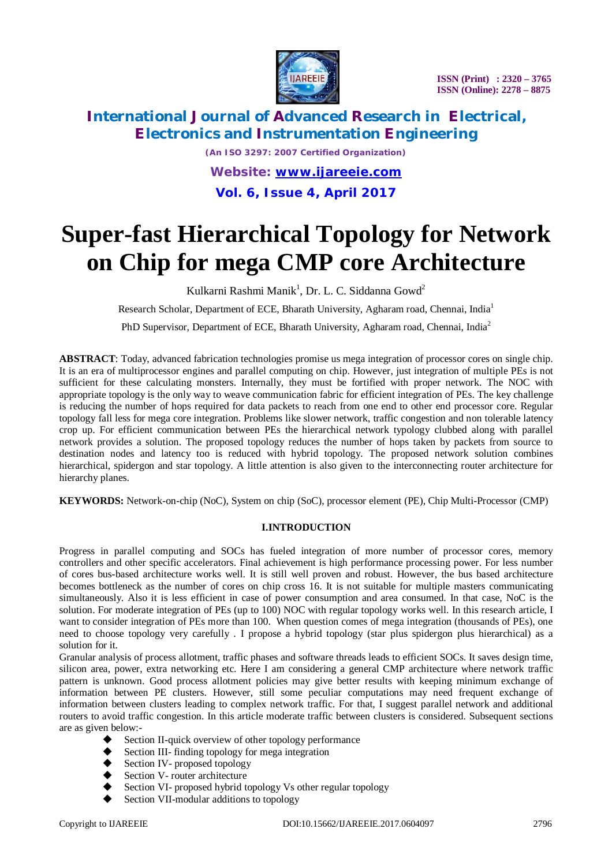

# **International Journal of Advanced Research in Electrical, Electronics and Instrumentation Engineering**

*(An ISO 3297: 2007 Certified Organization) Website: [www.ijareeie.com](http://www.ijareeie.com)* **Vol. 6, Issue 4, April 2017**

# **Super-fast Hierarchical Topology for Network on Chip for mega CMP core Architecture**

Kulkarni Rashmi Manik<sup>1</sup>, Dr. L. C. Siddanna Gowd<sup>2</sup>

Research Scholar, Department of ECE, Bharath University, Agharam road, Chennai, India<sup>1</sup>

PhD Supervisor, Department of ECE, Bharath University, Agharam road, Chennai, India<sup>2</sup>

**ABSTRACT**: Today, advanced fabrication technologies promise us mega integration of processor cores on single chip. It is an era of multiprocessor engines and parallel computing on chip. However, just integration of multiple PEs is not sufficient for these calculating monsters. Internally, they must be fortified with proper network. The NOC with appropriate topology is the only way to weave communication fabric for efficient integration of PEs. The key challenge is reducing the number of hops required for data packets to reach from one end to other end processor core. Regular topology fall less for mega core integration. Problems like slower network, traffic congestion and non tolerable latency crop up. For efficient communication between PEs the hierarchical network typology clubbed along with parallel network provides a solution. The proposed topology reduces the number of hops taken by packets from source to destination nodes and latency too is reduced with hybrid topology. The proposed network solution combines hierarchical, spidergon and star topology. A little attention is also given to the interconnecting router architecture for hierarchy planes.

**KEYWORDS:** Network-on-chip (NoC), System on chip (SoC), processor element (PE), Chip Multi-Processor (CMP)

#### **I.INTRODUCTION**

Progress in parallel computing and SOCs has fueled integration of more number of processor cores, memory controllers and other specific accelerators. Final achievement is high performance processing power. For less number of cores bus-based architecture works well. It is still well proven and robust. However, the bus based architecture becomes bottleneck as the number of cores on chip cross 16. It is not suitable for multiple masters communicating simultaneously. Also it is less efficient in case of power consumption and area consumed. In that case, NoC is the solution. For moderate integration of PEs (up to 100) NOC with regular topology works well. In this research article, I want to consider integration of PEs more than 100. When question comes of mega integration (thousands of PEs), one need to choose topology very carefully . I propose a hybrid topology (star plus spidergon plus hierarchical) as a solution for it.

Granular analysis of process allotment, traffic phases and software threads leads to efficient SOCs. It saves design time, silicon area, power, extra networking etc. Here I am considering a general CMP architecture where network traffic pattern is unknown. Good process allotment policies may give better results with keeping minimum exchange of information between PE clusters. However, still some peculiar computations may need frequent exchange of information between clusters leading to complex network traffic. For that, I suggest parallel network and additional routers to avoid traffic congestion. In this article moderate traffic between clusters is considered. Subsequent sections are as given below:-

- Section II-quick overview of other topology performance
- Section III- finding topology for mega integration
- Section IV- proposed topology
- Section V- router architecture
- Section VI- proposed hybrid topology Vs other regular topology
- Section VII-modular additions to topology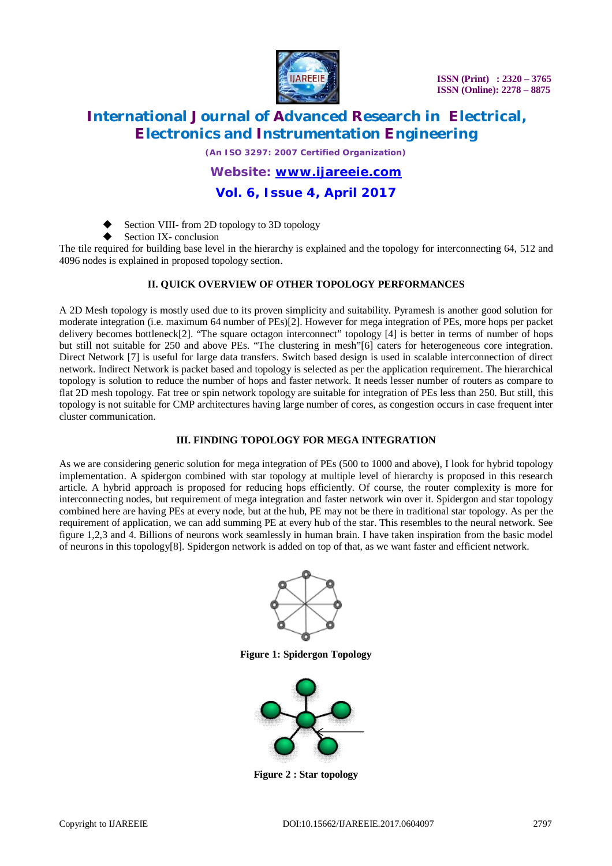

# **International Journal of Advanced Research in Electrical, Electronics and Instrumentation Engineering**

*(An ISO 3297: 2007 Certified Organization)*

### *Website: [www.ijareeie.com](http://www.ijareeie.com)*

### **Vol. 6, Issue 4, April 2017**

Section VIII- from 2D topology to 3D topology

Section IX- conclusion

The tile required for building base level in the hierarchy is explained and the topology for interconnecting 64, 512 and 4096 nodes is explained in proposed topology section.

#### **II. QUICK OVERVIEW OF OTHER TOPOLOGY PERFORMANCES**

A 2D Mesh topology is mostly used due to its proven simplicity and suitability. Pyramesh is another good solution for moderate integration (i.e. maximum 64 number of PEs)[2]. However for mega integration of PEs, more hops per packet delivery becomes bottleneck[2]. "The square octagon interconnect" topology [4] is better in terms of number of hops but still not suitable for 250 and above PEs. "The clustering in mesh"[6] caters for heterogeneous core integration. Direct Network [7] is useful for large data transfers. Switch based design is used in scalable interconnection of direct network. Indirect Network is packet based and topology is selected as per the application requirement. The hierarchical topology is solution to reduce the number of hops and faster network. It needs lesser number of routers as compare to flat 2D mesh topology. Fat tree or spin network topology are suitable for integration of PEs less than 250. But still, this topology is not suitable for CMP architectures having large number of cores, as congestion occurs in case frequent inter cluster communication.

#### **III. FINDING TOPOLOGY FOR MEGA INTEGRATION**

As we are considering generic solution for mega integration of PEs (500 to 1000 and above), I look for hybrid topology implementation. A spidergon combined with star topology at multiple level of hierarchy is proposed in this research article. A hybrid approach is proposed for reducing hops efficiently. Of course, the router complexity is more for interconnecting nodes, but requirement of mega integration and faster network win over it. Spidergon and star topology combined here are having PEs at every node, but at the hub, PE may not be there in traditional star topology. As per the requirement of application, we can add summing PE at every hub of the star. This resembles to the neural network. See figure 1,2,3 and 4. Billions of neurons work seamlessly in human brain. I have taken inspiration from the basic model of neurons in this topology[8]. Spidergon network is added on top of that, as we want faster and efficient network.



**Figure 1: Spidergon Topology**



**Figure 2 : Star topology**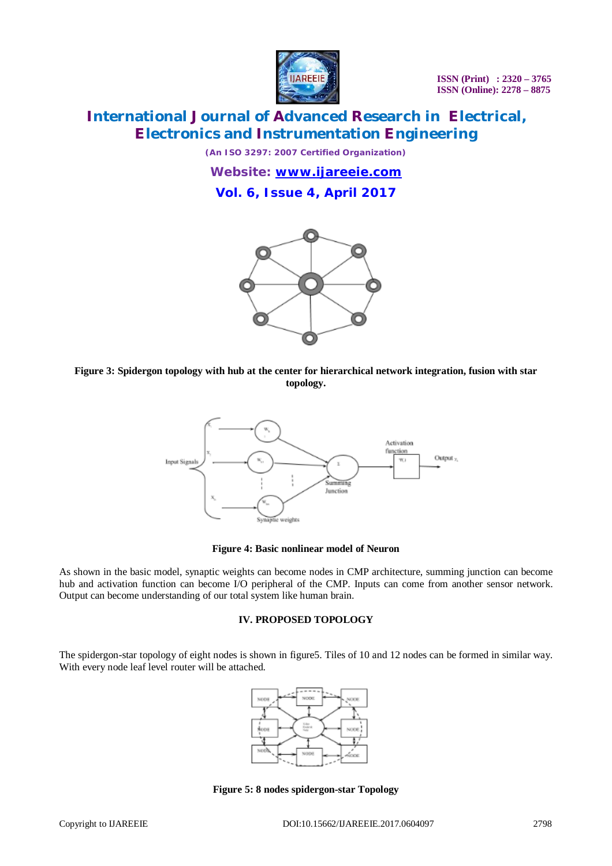

# **International Journal of Advanced Research in Electrical, Electronics and Instrumentation Engineering**

*(An ISO 3297: 2007 Certified Organization)*

*Website: [www.ijareeie.com](http://www.ijareeie.com)* **Vol. 6, Issue 4, April 2017**



**Figure 3: Spidergon topology with hub at the center for hierarchical network integration, fusion with star topology.**



#### **Figure 4: Basic nonlinear model of Neuron**

As shown in the basic model, synaptic weights can become nodes in CMP architecture, summing junction can become hub and activation function can become I/O peripheral of the CMP. Inputs can come from another sensor network. Output can become understanding of our total system like human brain.

#### **IV. PROPOSED TOPOLOGY**

The spidergon-star topology of eight nodes is shown in figure5. Tiles of 10 and 12 nodes can be formed in similar way. With every node leaf level router will be attached.



**Figure 5: 8 nodes spidergon-star Topology**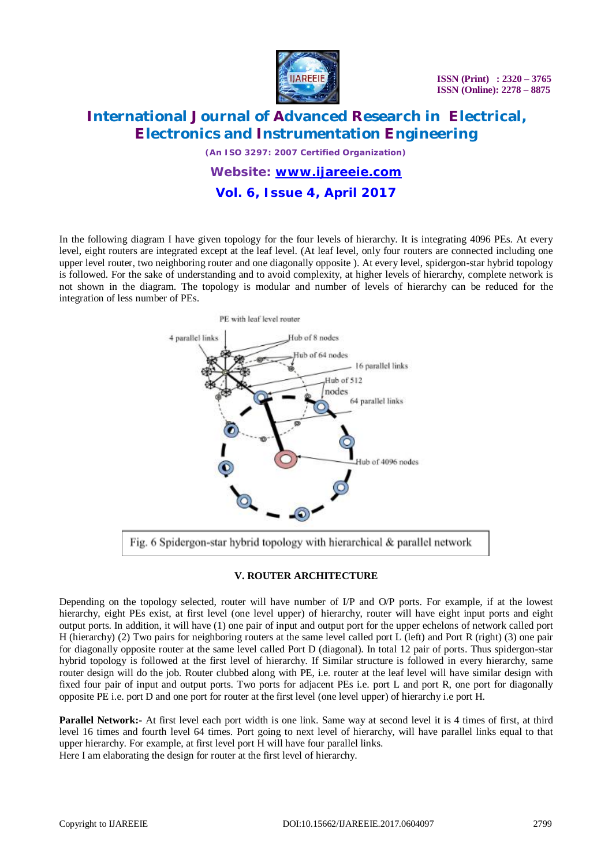

# **International Journal of Advanced Research in Electrical, Electronics and Instrumentation Engineering**

*(An ISO 3297: 2007 Certified Organization)*

*Website: [www.ijareeie.com](http://www.ijareeie.com)* **Vol. 6, Issue 4, April 2017**

In the following diagram I have given topology for the four levels of hierarchy. It is integrating 4096 PEs. At every level, eight routers are integrated except at the leaf level. (At leaf level, only four routers are connected including one upper level router, two neighboring router and one diagonally opposite ). At every level, spidergon-star hybrid topology is followed. For the sake of understanding and to avoid complexity, at higher levels of hierarchy, complete network is not shown in the diagram. The topology is modular and number of levels of hierarchy can be reduced for the integration of less number of PEs.



Fig. 6 Spidergon-star hybrid topology with hierarchical & parallel network

#### **V. ROUTER ARCHITECTURE**

Depending on the topology selected, router will have number of I/P and O/P ports. For example, if at the lowest hierarchy, eight PEs exist, at first level (one level upper) of hierarchy, router will have eight input ports and eight output ports. In addition, it will have (1) one pair of input and output port for the upper echelons of network called port H (hierarchy) (2) Two pairs for neighboring routers at the same level called port L (left) and Port R (right) (3) one pair for diagonally opposite router at the same level called Port D (diagonal). In total 12 pair of ports. Thus spidergon-star hybrid topology is followed at the first level of hierarchy. If Similar structure is followed in every hierarchy, same router design will do the job. Router clubbed along with PE, i.e. router at the leaf level will have similar design with fixed four pair of input and output ports. Two ports for adjacent PEs i.e. port L and port R, one port for diagonally opposite PE i.e. port D and one port for router at the first level (one level upper) of hierarchy i.e port H.

**Parallel Network:-** At first level each port width is one link. Same way at second level it is 4 times of first, at third level 16 times and fourth level 64 times. Port going to next level of hierarchy, will have parallel links equal to that upper hierarchy. For example, at first level port H will have four parallel links. Here I am elaborating the design for router at the first level of hierarchy.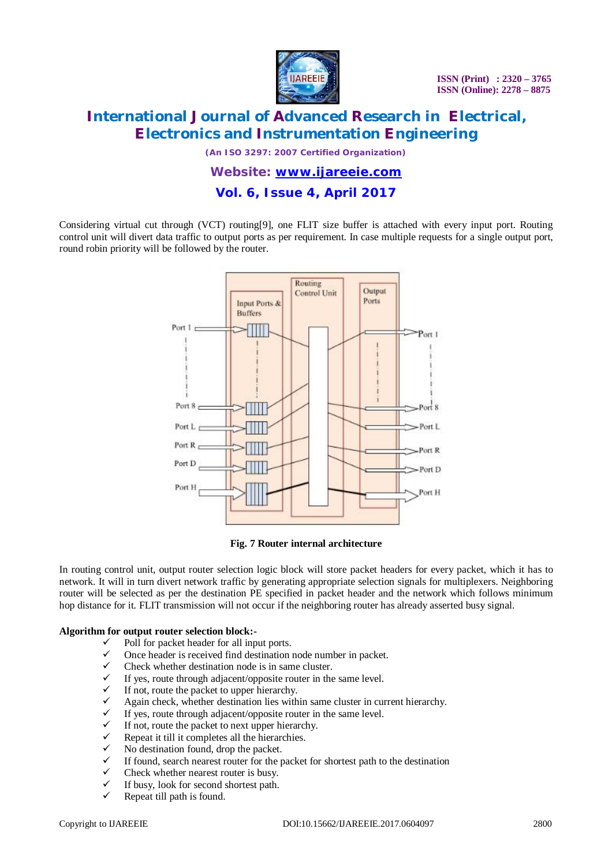

# **International Journal of Advanced Research in Electrical, Electronics and Instrumentation Engineering**

*(An ISO 3297: 2007 Certified Organization)*

*Website: [www.ijareeie.com](http://www.ijareeie.com)* **Vol. 6, Issue 4, April 2017**

Considering virtual cut through (VCT) routing[9], one FLIT size buffer is attached with every input port. Routing control unit will divert data traffic to output ports as per requirement. In case multiple requests for a single output port, round robin priority will be followed by the router.



**Fig. 7 Router internal architecture**

In routing control unit, output router selection logic block will store packet headers for every packet, which it has to network. It will in turn divert network traffic by generating appropriate selection signals for multiplexers. Neighboring router will be selected as per the destination PE specified in packet header and the network which follows minimum hop distance for it. FLIT transmission will not occur if the neighboring router has already asserted busy signal.

#### **Algorithm for output router selection block:-**

- Poll for packet header for all input ports.
- Once header is received find destination node number in packet.
- $\checkmark$  Check whether destination node is in same cluster.
- If yes, route through adjacent/opposite router in the same level.
- If not, route the packet to upper hierarchy.
- Again check, whether destination lies within same cluster in current hierarchy.
- If yes, route through adjacent/opposite router in the same level.
- If not, route the packet to next upper hierarchy.
- Repeat it till it completes all the hierarchies.
- No destination found, drop the packet.
- If found, search nearest router for the packet for shortest path to the destination
- Check whether nearest router is busy.
- If busy, look for second shortest path.
- Repeat till path is found.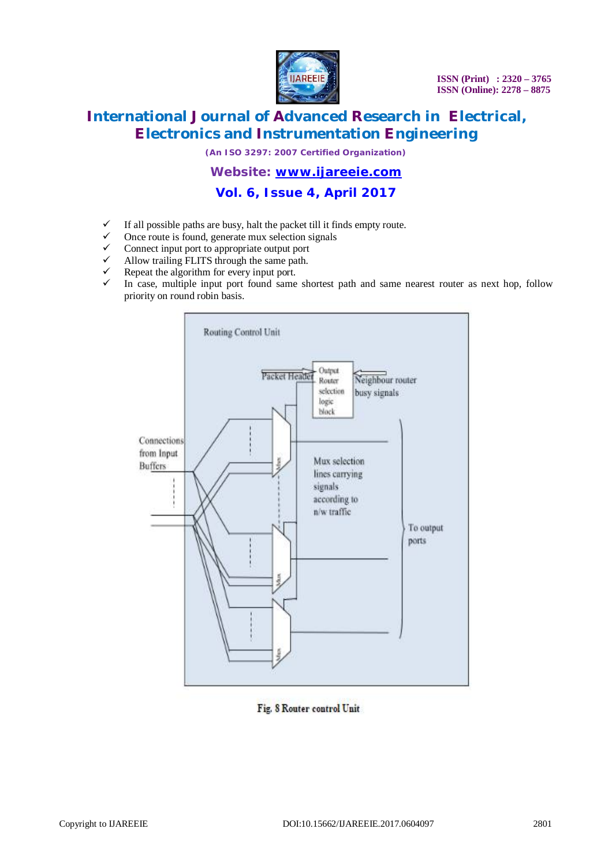

# **International Journal of Advanced Research in Electrical, Electronics and Instrumentation Engineering**

*(An ISO 3297: 2007 Certified Organization)*

### *Website: [www.ijareeie.com](http://www.ijareeie.com)*

## **Vol. 6, Issue 4, April 2017**

- $\checkmark$  If all possible paths are busy, halt the packet till it finds empty route.
- $\checkmark$  Once route is found, generate mux selection signals  $\checkmark$  Connect input port to appropriate output port
- $\checkmark$  Connect input port to appropriate output port  $\checkmark$  Allow trailing FLITS through the same path
- $\checkmark$  Allow trailing FLITS through the same path.<br> $\checkmark$  Repeat the algorithm for every input port
- Repeat the algorithm for every input port.
- In case, multiple input port found same shortest path and same nearest router as next hop, follow priority on round robin basis.



Fig. 8 Router control Unit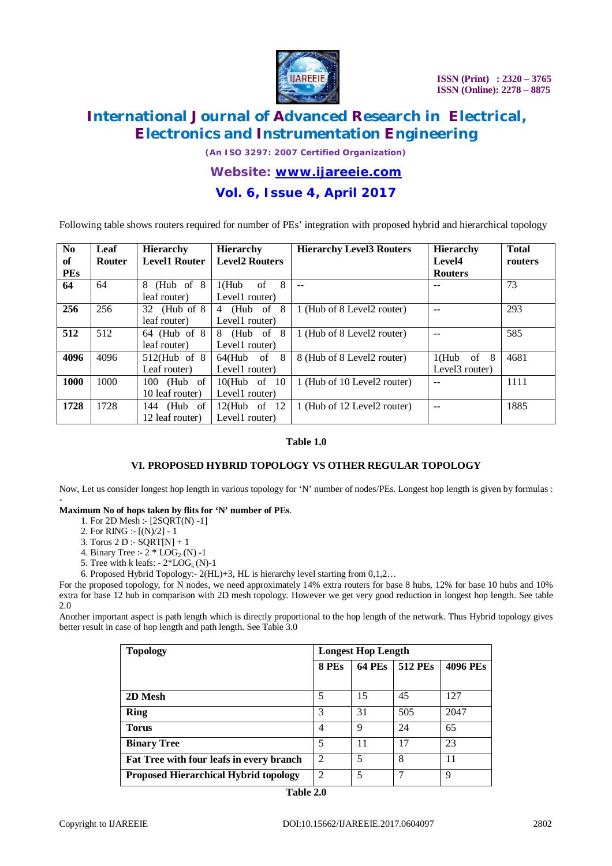

# **International Journal of Advanced Research in Electrical, Electronics and Instrumentation Engineering**

*(An ISO 3297: 2007 Certified Organization)*

### *Website: [www.ijareeie.com](http://www.ijareeie.com)*

### **Vol. 6, Issue 4, April 2017**

Following table shows routers required for number of PEs' integration with proposed hybrid and hierarchical topology

| N <sub>0</sub> | Leaf          | <b>Hierarchy</b>     | <b>Hierarchy</b>      | <b>Hierarchy Level3 Routers</b> | <b>Hierarchy</b> | <b>Total</b> |
|----------------|---------------|----------------------|-----------------------|---------------------------------|------------------|--------------|
| of             | <b>Router</b> | <b>Level1 Router</b> | <b>Level2 Routers</b> |                                 | Level4           | routers      |
| <b>PEs</b>     |               |                      |                       |                                 | <b>Routers</b>   |              |
| 64             | 64            | (Hub of $8$<br>8     | 8<br>$1$ (Hub<br>of   | $-$                             |                  | 73           |
|                |               | leaf router)         | Level1 router)        |                                 |                  |              |
| 256            | 256           | 32 (Hub of $8$ )     | -8<br>(Hub of<br>4    | 1 (Hub of 8 Level2 router)      |                  | 293          |
|                |               | leaf router)         | Level1 router)        |                                 |                  |              |
| 512            | 512           | $64$ (Hub of $8$ )   | -8<br>(Hub of<br>8    | 1 (Hub of 8 Level2 router)      |                  | 585          |
|                |               | leaf router)         | Level1 router)        |                                 |                  |              |
| 4096           | 4096          | $512$ (Hub of 8      | $64$ (Hub of $8$      | 8 (Hub of 8 Level2 router)      | $1(Hub$ of 8     | 4681         |
|                |               | Leaf router)         | Level1 router)        |                                 | Level3 router)   |              |
| 1000           | 1000          | 100 (Hub of          | $10$ (Hub of $10$     | 1 (Hub of 10 Level2 router)     |                  | 1111         |
|                |               | 10 leaf router)      | Level1 router)        |                                 |                  |              |
| 1728           | 1728          | 144 (Hub of          | $12$ (Hub of 12       | 1 (Hub of 12 Level2 router)     | --               | 1885         |
|                |               | 12 leaf router)      | Level1 router)        |                                 |                  |              |

#### **Table 1.0**

#### **VI. PROPOSED HYBRID TOPOLOGY VS OTHER REGULAR TOPOLOGY**

Now, Let us consider longest hop length in various topology for 'N' number of nodes/PEs. Longest hop length is given by formulas :

#### - **Maximum No of hops taken by flits for 'N' number of PEs**.

- 1. For 2D Mesh :- [2SQRT(N) -1]
- 2. For RING :-  $[(N)/2] 1$
- 3. Torus 2 D :- SQRT[N] + 1
- 4. Binary Tree :-  $2 * LOG_2(N) -1$
- 5. Tree with k leafs:  $-2*LOG_k(N)-1$

6. Proposed Hybrid Topology:- 2(HL)+3, HL is hierarchy level starting from 0,1,2…

For the proposed topology, for N nodes, we need approximately 14% extra routers for base 8 hubs, 12% for base 10 hubs and 10% extra for base 12 hub in comparison with 2D mesh topology. However we get very good reduction in longest hop length. See table 2.0

Another important aspect is path length which is directly proportional to the hop length of the network. Thus Hybrid topology gives better result in case of hop length and path length. See Table 3.0

| <b>Topology</b>                              | <b>Longest Hop Length</b> |               |                |                 |  |
|----------------------------------------------|---------------------------|---------------|----------------|-----------------|--|
|                                              | 8 PEs                     | <b>64 PEs</b> | <b>512 PEs</b> | <b>4096 PEs</b> |  |
|                                              |                           |               |                |                 |  |
| 2D Mesh                                      | 5                         | 15            | 45             | 127             |  |
| <b>Ring</b>                                  | 3                         | 31            | 505            | 2047            |  |
| <b>Torus</b>                                 | 4                         | 9             | 24             | 65              |  |
| <b>Binary Tree</b>                           | 5                         | 11            | 17             | 23              |  |
| Fat Tree with four leafs in every branch     | $\overline{2}$            | 5             | 8              | 11              |  |
| <b>Proposed Hierarchical Hybrid topology</b> | $\overline{2}$            | 5             | 7              | 9               |  |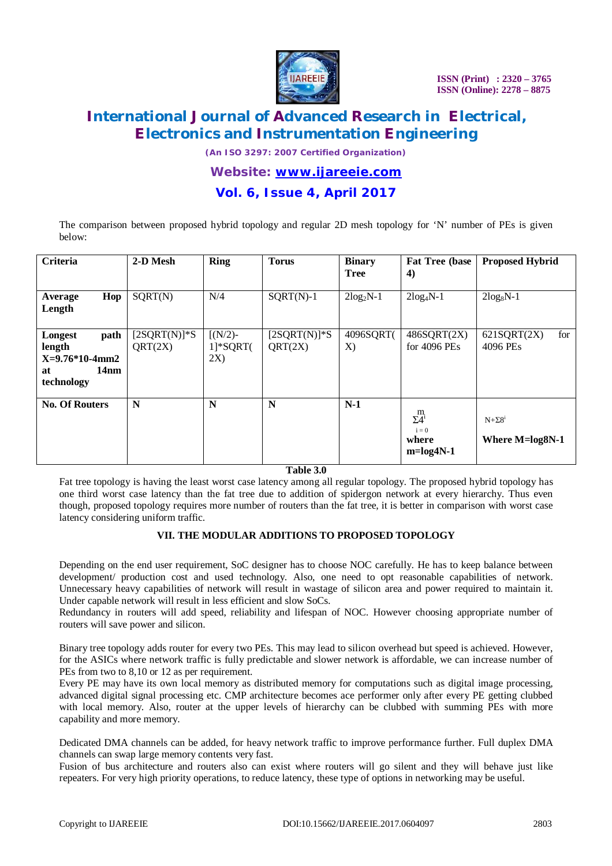

# **International Journal of Advanced Research in Electrical, Electronics and Instrumentation Engineering**

*(An ISO 3297: 2007 Certified Organization)*

### *Website: [www.ijareeie.com](http://www.ijareeie.com)*

### **Vol. 6, Issue 4, April 2017**

The comparison between proposed hybrid topology and regular 2D mesh topology for 'N' number of PEs is given below:

| <b>Criteria</b>                                                                       | 2-D Mesh                  | <b>Ring</b>                                                         | <b>Torus</b>                           | <b>Binary</b><br><b>Tree</b> | <b>Fat Tree (base)</b><br>4)                          | <b>Proposed Hybrid</b>              |
|---------------------------------------------------------------------------------------|---------------------------|---------------------------------------------------------------------|----------------------------------------|------------------------------|-------------------------------------------------------|-------------------------------------|
| Hop<br>Average<br>Length                                                              | SQRT(N)                   | N/4                                                                 | $SQRT(N)-1$                            | $2log_2N-1$                  | $2log_4N-1$                                           | $2log_8N-1$                         |
| path<br>Longest<br>length<br>$X=9.76*10-4mm2$<br>14 <sub>nm</sub><br>at<br>technology | $[2SQRT(N)]*S$<br>QRT(2X) | $\left\lceil (N/2) - \right\rceil$<br>$1$ <sup>*</sup> SQRT(<br>2X) | $[2SQRT(N)]$ <sup>*</sup> S<br>QRT(2X) | 4096SQRT(<br>X)              | $486$ SQRT $(2X)$<br>for 4096 PEs                     | for<br>621SQRT(2X)<br>4096 PEs      |
| <b>No. Of Routers</b>                                                                 | N                         | N                                                                   | N                                      | $N-1$                        | $\sum_{i=1}^{m}$<br>$i = 0$<br>where<br>$m = log4N-1$ | $N + \Sigma 8^1$<br>Where M=log8N-1 |

#### **Table 3.0**

Fat tree topology is having the least worst case latency among all regular topology. The proposed hybrid topology has one third worst case latency than the fat tree due to addition of spidergon network at every hierarchy. Thus even though, proposed topology requires more number of routers than the fat tree, it is better in comparison with worst case latency considering uniform traffic.

#### **VII. THE MODULAR ADDITIONS TO PROPOSED TOPOLOGY**

Depending on the end user requirement, SoC designer has to choose NOC carefully. He has to keep balance between development/ production cost and used technology. Also, one need to opt reasonable capabilities of network. Unnecessary heavy capabilities of network will result in wastage of silicon area and power required to maintain it. Under capable network will result in less efficient and slow SoCs.

Redundancy in routers will add speed, reliability and lifespan of NOC. However choosing appropriate number of routers will save power and silicon.

Binary tree topology adds router for every two PEs. This may lead to silicon overhead but speed is achieved. However, for the ASICs where network traffic is fully predictable and slower network is affordable, we can increase number of PEs from two to 8,10 or 12 as per requirement.

Every PE may have its own local memory as distributed memory for computations such as digital image processing, advanced digital signal processing etc. CMP architecture becomes ace performer only after every PE getting clubbed with local memory. Also, router at the upper levels of hierarchy can be clubbed with summing PEs with more capability and more memory.

Dedicated DMA channels can be added, for heavy network traffic to improve performance further. Full duplex DMA channels can swap large memory contents very fast.

Fusion of bus architecture and routers also can exist where routers will go silent and they will behave just like repeaters. For very high priority operations, to reduce latency, these type of options in networking may be useful.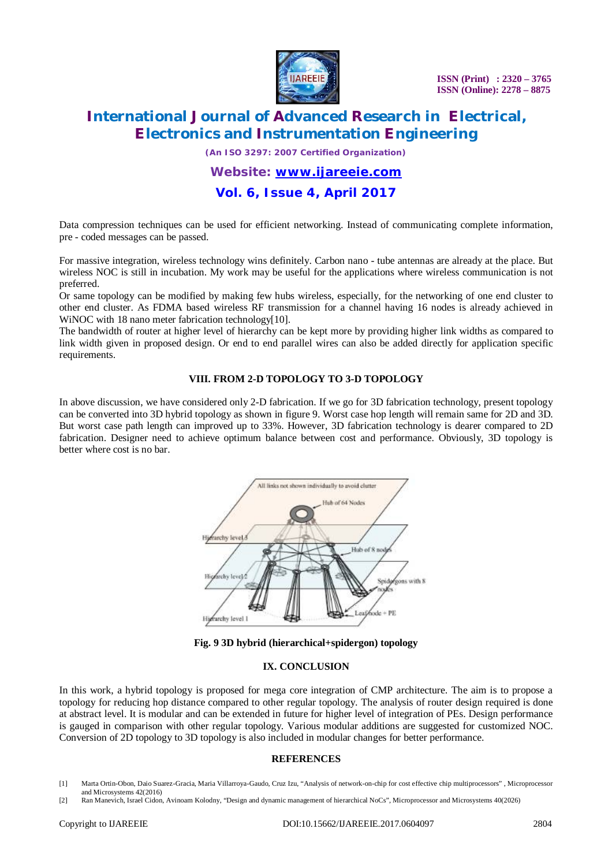

# **International Journal of Advanced Research in Electrical, Electronics and Instrumentation Engineering**

*(An ISO 3297: 2007 Certified Organization)*

### *Website: [www.ijareeie.com](http://www.ijareeie.com)*

### **Vol. 6, Issue 4, April 2017**

Data compression techniques can be used for efficient networking. Instead of communicating complete information, pre - coded messages can be passed.

For massive integration, wireless technology wins definitely. Carbon nano - tube antennas are already at the place. But wireless NOC is still in incubation. My work may be useful for the applications where wireless communication is not preferred.

Or same topology can be modified by making few hubs wireless, especially, for the networking of one end cluster to other end cluster. As FDMA based wireless RF transmission for a channel having 16 nodes is already achieved in WiNOC with 18 nano meter fabrication technology[10].

The bandwidth of router at higher level of hierarchy can be kept more by providing higher link widths as compared to link width given in proposed design. Or end to end parallel wires can also be added directly for application specific requirements.

#### **VIII. FROM 2-D TOPOLOGY TO 3-D TOPOLOGY**

In above discussion, we have considered only 2-D fabrication. If we go for 3D fabrication technology, present topology can be converted into 3D hybrid topology as shown in figure 9. Worst case hop length will remain same for 2D and 3D. But worst case path length can improved up to 33%. However, 3D fabrication technology is dearer compared to 2D fabrication. Designer need to achieve optimum balance between cost and performance. Obviously, 3D topology is better where cost is no bar.





#### **IX. CONCLUSION**

In this work, a hybrid topology is proposed for mega core integration of CMP architecture. The aim is to propose a topology for reducing hop distance compared to other regular topology. The analysis of router design required is done at abstract level. It is modular and can be extended in future for higher level of integration of PEs. Design performance is gauged in comparison with other regular topology. Various modular additions are suggested for customized NOC. Conversion of 2D topology to 3D topology is also included in modular changes for better performance.

#### **REFERENCES**

- [1] Marta Ortin-Obon, Daio Suarez-Gracia, Maria Villarroya-Gaudo, Cruz Izu, "Analysis of network-on-chip for cost effective chip multiprocessors" , Microprocessor and Microsystems 42(2016)
- [2] Ran Manevich, Israel Cidon, Avinoam Kolodny, "Design and dynamic management of hierarchical NoCs", Microprocessor and Microsystems 40(2026)